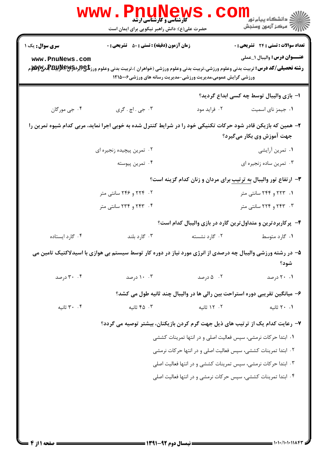|                                                                                                                                            | $\mathbf{www}$ .<br><b>PNUNEWS</b><br><b>گارشناسی و کارشناسی ارشد</b><br>حضرت علی(ع): دانش راهبر نیکویی برای ایمان است |                                                                             | ڪ دانشڪاه پيا <sub>م</sub> نور<br><mark>√</mark> مرڪز آزمون وسنڊش            |  |  |  |
|--------------------------------------------------------------------------------------------------------------------------------------------|------------------------------------------------------------------------------------------------------------------------|-----------------------------------------------------------------------------|------------------------------------------------------------------------------|--|--|--|
| سری سوال: یک ۱<br>www.PnuNews.com                                                                                                          | <b>زمان آزمون (دقیقه) : تستی : 80 ٪ تشریحی : 0</b>                                                                     | ورزشی گرایش عمومی،مدیریت ورزشی-مدیریت رسانه های ورزشی۱۲۱۵۰۰۶                | تعداد سوالات : تستي : 24 - تشريحي : 0<br><b>عنـــوان درس:</b> واليبال ١_عملي |  |  |  |
|                                                                                                                                            |                                                                                                                        |                                                                             | ا– بازی والیبال توسط چه کسی ابداع گردید؟                                     |  |  |  |
| ۰۴ جي مورگان                                                                                                                               | ۰۳ جي . اچ . گري                                                                                                       | ۰۲ فراید مود                                                                | ٠١ جيمز ناي اسميت                                                            |  |  |  |
| ۲– همین که بازیکن قادر شود حرکات تکنیکی خود را در شرایط کنترل شده به خوبی اجرا نماید، مربی کدام شیوه تمرین را<br>جهت آموزش وی بکار میگیرد؟ |                                                                                                                        |                                                                             |                                                                              |  |  |  |
|                                                                                                                                            | ۰۲ تمرین پیچیده زنجیره ای                                                                                              |                                                                             | ۰۱ تمرین أرایشي                                                              |  |  |  |
|                                                                                                                                            | ۰۴ تمرين پيوسته                                                                                                        |                                                                             | ۰۳ تمرین ساده زنجیره ای                                                      |  |  |  |
| ۳- ارتفاع تور والیبال <u>به ترتیب</u> برای مردان و زنان کدام گزینه است؟                                                                    |                                                                                                                        |                                                                             |                                                                              |  |  |  |
|                                                                                                                                            | ۲. ۲۲۴ و ۲۴۶ سانتی متر                                                                                                 | ۱. ۲۲۳ و ۲۴۴ سانتی متر                                                      |                                                                              |  |  |  |
|                                                                                                                                            | ۰۴ ـ ۲۴۳ و ۲۳۴ سانتی متر                                                                                               |                                                                             | ۰۳ . ۲۴۳ و ۲۲۴ سانتی متر                                                     |  |  |  |
|                                                                                                                                            |                                                                                                                        | ۴- پرکاربردترین و متداول ترین گارد در بازی والیبال کدام است؟                |                                                                              |  |  |  |
| ۰۴ گارد ایستاده                                                                                                                            | ۰۳ گارد بلند                                                                                                           | ۰۲ گارد نشسته                                                               | ۰۱ گارد متوسط                                                                |  |  |  |
|                                                                                                                                            | ۵− در رشته ورزشی والیبال چه درصدی از انرژی مورد نیاز در دوره کار توسط سیستم بی هوازی با اسیدلاکتیک تامین می<br>شود؟    |                                                                             |                                                                              |  |  |  |
| ۰۴ درصد                                                                                                                                    | ۰.۴ درصد                                                                                                               | ۰۲ ۵ درصد                                                                   | ۰۱ ۲۰ درصد                                                                   |  |  |  |
|                                                                                                                                            |                                                                                                                        | ۶– میانگین تقریبی دوره استراحت بین رالی ها در والیبال چند ثانیه طول می کشد؟ |                                                                              |  |  |  |
| ۰.۴ ثانيه                                                                                                                                  | ۰۳ ثانیه                                                                                                               | ۰۲ ثانیه                                                                    | ۰۱ ۲۰ ثانیه                                                                  |  |  |  |
|                                                                                                                                            | ۷– رعایت کدام یک از ترتیب های ذیل جهت گرم کردن بازیکنان، بیشتر توصیه می گردد؟                                          |                                                                             |                                                                              |  |  |  |
|                                                                                                                                            | ۰۱ ابتدا حرکات نرمشی، سپس فعالیت اصلی و در انتها تمرینات کششی                                                          |                                                                             |                                                                              |  |  |  |
|                                                                                                                                            | ۰۲ ابتدا تمرینات کششی، سپس فعالیت اصلی و در انتها حرکات نرمشی                                                          |                                                                             |                                                                              |  |  |  |
|                                                                                                                                            | ۰۳ ابتدا حرکات نرمشی، سپس تمرینات کششی و در انتها فعالیت اصلی                                                          |                                                                             |                                                                              |  |  |  |
|                                                                                                                                            |                                                                                                                        | ۰۴ ابتدا تمرینات کششی، سپس حرکات نرمشی و در انتها فعالیت اصلی               |                                                                              |  |  |  |
|                                                                                                                                            |                                                                                                                        |                                                                             |                                                                              |  |  |  |
|                                                                                                                                            |                                                                                                                        |                                                                             |                                                                              |  |  |  |
|                                                                                                                                            |                                                                                                                        |                                                                             |                                                                              |  |  |  |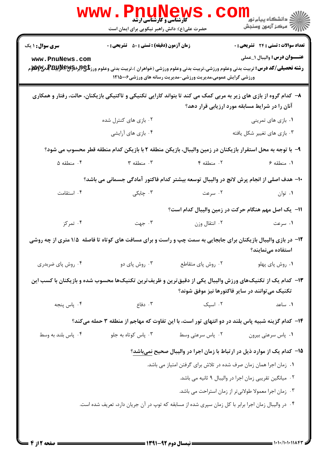|                                                                                                                                                                    | <b>کارشناسی و کارشناسی ارشد</b><br>حضرت علی(ع): دانش راهبر نیکویی برای ایمان است |                                                                                  | لاد دانشگاه پيام نور دا<br>الا مرکز آزمون وسنجش |  |  |
|--------------------------------------------------------------------------------------------------------------------------------------------------------------------|----------------------------------------------------------------------------------|----------------------------------------------------------------------------------|-------------------------------------------------|--|--|
| <b>سری سوال :</b> ۱ یک                                                                                                                                             | <b>زمان آزمون (دقیقه) : تستی : 50 ٪ تشریحی : 0</b>                               |                                                                                  | تعداد سوالات : تستي : 24 - تشريحي : 0           |  |  |
| www.PnuNews.com                                                                                                                                                    |                                                                                  | ورزشی گرایش عمومی،مدیریت ورزشی-مدیریت رسانه های ورزشی۱۲۱۵۰۰۶                     | <b>عنـــوان درس:</b> واليبال ١_عملي             |  |  |
| ۸– کدام گروه از بازی های زیر به مربی کمک می کند تا بتواند کارایی تکنیکی و تاکتیکی بازیکنان، حالت، رفتار و همکاری<br>آنان را در شرایط مسابقه مورد ارزیابی قرار دهد؟ |                                                                                  |                                                                                  |                                                 |  |  |
|                                                                                                                                                                    | ۰۲ بازی های کنترل شده                                                            |                                                                                  | ۰۱ بازی های تمرینی                              |  |  |
|                                                                                                                                                                    | ۰۴ بازی های آرایشی                                                               |                                                                                  | ۰۳ بازی های تغییر شکل یافته                     |  |  |
| ۹–  با توجه به محل استقرار بازیکنان در زمین والیبال، بازیکن منطقه ۲ با بازیکن کدام منطقه قطر محسوب می شود؟                                                         |                                                                                  |                                                                                  |                                                 |  |  |
| ۰۴ منطقه ۵                                                                                                                                                         | ۰۳ منطقه ۳                                                                       | ۰۲ منطقه ۴                                                                       | ۰۱ منطقه ۶                                      |  |  |
| ∙۱− هدف اصلی از انجام پرش لانچ در والیبال توسعه بیشتر کدام فاکتور آمادگی جسمانی می باشد؟                                                                           |                                                                                  |                                                                                  |                                                 |  |  |
| ۰۴ استقامت                                                                                                                                                         | ۰۳ چابکی                                                                         | ۰۲ سرعت                                                                          | ۰۱ توان                                         |  |  |
|                                                                                                                                                                    |                                                                                  | 11– یک اصل مهم هنگام حرکت در زمین والیبال کدام است؟                              |                                                 |  |  |
| ۰۴ تمرکز                                                                                                                                                           | ۰۳ جهت                                                                           | ۰۲ انتقال وزن                                                                    | ۰۱ سرعت                                         |  |  |
| ۱۲- در بازی والیبال بازیکنان برای جابجایی به سمت چپ و راست و برای مسافت های کوتاه تا فاصله ۱/۵ متری از چه روشی<br>استفاده مینمایند؟                                |                                                                                  |                                                                                  |                                                 |  |  |
| ۰۴ روش پای ضربدری                                                                                                                                                  | ۰۳ روش پای دو                                                                    | ٠٢ روش پاي متقاطع                                                                | ٠١ روش پاي پهلو                                 |  |  |
| ۱۳– کدام یک از تکنیکهای ورزش والیبال یکی از دقیقترین و ظریفترین تکنیکها محسوب شده و بازیکنان با کسب این<br>تکنیک می توانند در سایر فاکتورها نیز موفق شوند؟         |                                                                                  |                                                                                  |                                                 |  |  |
| ۴. پاس پنجه                                                                                                                                                        | ۰۳ دفاع                                                                          | ۰۲ اسپک                                                                          | ٠١. ساعد                                        |  |  |
| ۱۴– کدام گزینه شبیه پاس بلند در دو انتهای تور است، با این تفاوت که مهاجم از منطقه ۳ حمله میکند؟                                                                    |                                                                                  |                                                                                  |                                                 |  |  |
| ۰۴ پاس بلند به وسط                                                                                                                                                 | ۰۳ پاس کوتاه به جلو                                                              | ۰۲ پاس سرعتی وسط                                                                 | ٠١ پاس سرعتي بيرون                              |  |  |
|                                                                                                                                                                    |                                                                                  | ۱۵– کدام یک از موارد ذیل در ارتباط با زمان اجرا در والیبال صحیح <u>نمیباشد</u> ؟ |                                                 |  |  |
| ۰۱ زمان اجرا همان زمان صرف شده در تلاش برای گرفتن امتیاز می باشد.                                                                                                  |                                                                                  |                                                                                  |                                                 |  |  |
| ۰۲ میانگین تقریبی زمان اجرا در والیبال ۹ ثانیه می باشد.                                                                                                            |                                                                                  |                                                                                  |                                                 |  |  |
| ۰۳ زمان اجرا معمولا طولانی تر از زمان استراحت می باشد.                                                                                                             |                                                                                  |                                                                                  |                                                 |  |  |
| ۰۴ در والیبال زمان اجرا برابر با کل زمان سپری شده از مسابقه که توپ در آن جریان دارد، تعریف شده است.                                                                |                                                                                  |                                                                                  |                                                 |  |  |
|                                                                                                                                                                    |                                                                                  |                                                                                  |                                                 |  |  |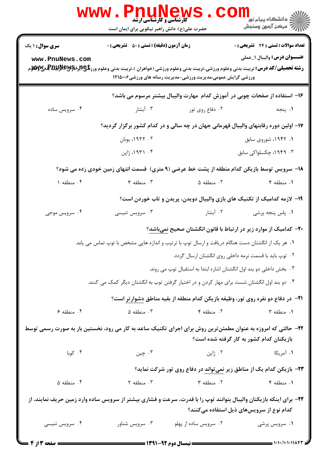|                                                                                                                    | <b>www.rnunew</b><br><b>گارشناسی و کارشناسی ارشد</b><br>حضرت علی(ع): دانش راهبر نیکویی برای ایمان است |                                                                     | لاد دانشگاه پيام نور دا<br>الا مرکز آزمون وسنجش                                             |  |
|--------------------------------------------------------------------------------------------------------------------|-------------------------------------------------------------------------------------------------------|---------------------------------------------------------------------|---------------------------------------------------------------------------------------------|--|
| <b>سری سوال : ۱ یک</b>                                                                                             | <b>زمان آزمون (دقیقه) : تستی : 50 ٪ تشریحی : 0</b>                                                    |                                                                     | تعداد سوالات : تستى : 24 تشريحي : 0                                                         |  |
| www.PnuNews.com                                                                                                    |                                                                                                       | ورزشی گرایش عمومی،مدیریت ورزشی-مدیریت رسانه های ورزشی۱۲۱۵۰۰۶        | <b>عنـــوان درس:</b> واليبال ١_عملي                                                         |  |
|                                                                                                                    |                                                                                                       |                                                                     | ۱۶– استفاده از صفحات چوبی در آموزش کدام مهارت والیبال بیشتر مرسوم می باشد؟                  |  |
| ۰۴ سرویس ساده                                                                                                      | ۰۳ آبشار                                                                                              | ۰۲ دفاع روی تور                                                     | ۰۱ پنجه                                                                                     |  |
|                                                                                                                    | ۱۷– اولین دوره رقابتهای والیبال قهرمانی جهان در چه سالی و در کدام کشور برگزار گردید؟                  |                                                                     |                                                                                             |  |
|                                                                                                                    | ۰۲ ۱۹۲۲، یونان                                                                                        |                                                                     | ۱. ۱۹۴۲، شوروی سابق                                                                         |  |
|                                                                                                                    | ۰۴ ۱۹۳۱، ژاپن                                                                                         |                                                                     | ۰۳ ۱۹۴۹، چکسلواکی سابق                                                                      |  |
|                                                                                                                    |                                                                                                       |                                                                     | ۱۸– سرویس توسط بازیکن کدام منطقه از پشت خط عرضی (۹ متری)  قسمت انتهای زمین خودی زده می شود؟ |  |
| ۰۴ منطقه ۱                                                                                                         | ۰۳ منطقه ۳                                                                                            | ۰۲ منطقه ۵                                                          | ۰۱ منطقه ۴                                                                                  |  |
|                                                                                                                    |                                                                                                       |                                                                     | ۱۹- لازمه کدامیک از تکنیک های بازی والیبال دویدن، پریدن و تاب خوردن است؟                    |  |
| ۰۴ سرویس موجی                                                                                                      | ۰۳ سرویس تنیسی                                                                                        | ۰۲ آبشار                                                            | ۰۱ پاس پنجه پرشی                                                                            |  |
|                                                                                                                    |                                                                                                       |                                                                     | +۲- کدامیک از موارد زیر در ارتباط با قانون انگشتان صحیح نمیباشد؟                            |  |
|                                                                                                                    | ۰۱ هر یک از انگشتان دست هنگام دریافت و ارسال توپ با ترتیب و اندازه هایی مشخص با توپ تماس می یابد.     |                                                                     |                                                                                             |  |
|                                                                                                                    |                                                                                                       |                                                                     | ۰۲ توپ باید با قسمت نرمه داخلی روی انگشتان ارسال گردد.                                      |  |
|                                                                                                                    |                                                                                                       | ۰۳ بخش داخلی دو بند اول انگشتان اشاره ابتدا به استقبال توپ می روند. |                                                                                             |  |
|                                                                                                                    | ۰۴ دو بند اول انگشتان شست برای مهار کردن و در اختیار گرفتن توپ به انگشتان دیگر کمک می کنند.           |                                                                     |                                                                                             |  |
|                                                                                                                    |                                                                                                       |                                                                     | <b>۲۱</b> - در دفاع دو نفره روی تور، وظیفه بازیکن کدام منطقه از بقیه مناطق دشوارتر است؟     |  |
| ۰۴ منطقه ۶                                                                                                         | ۰۳ منطقه ۵                                                                                            | ۰۲ منطقه ۴                                                          | ٠١ منطقه ٣                                                                                  |  |
| ۲۲– حالتی که امروزه به عنوان مطمئن ترین روش برای اجرای تکنیک ساعد به کار می رود، نخستین بار به صورت رسمی توسط      |                                                                                                       |                                                                     | بازیکنان کدام کشور به کار گرفته شده است؟                                                    |  |
| ۰۴ کوبا                                                                                                            | ۰۳ چين                                                                                                | ۰۲ ژاپن                                                             | ۰۱ آمریکا                                                                                   |  |
|                                                                                                                    |                                                                                                       |                                                                     | ۲۳– بازیکن کدام یک از مناطق زیر نمیتواند در دفاع روی تور شرکت نماید؟                        |  |
| ۰۴ منطقه ۵                                                                                                         | ۰۳ منطقه ۲                                                                                            | ۰۲ منطقه ۳                                                          | ۰۱ منطقه ۴                                                                                  |  |
| ۲۴- برای اینکه بازیکنان والیبال بتوانند توپ را با قدرت، سرعت و فشاری بیشتر از سرویس ساده وارد زمین حریف نمایند، از |                                                                                                       |                                                                     | کدام نوع از سرویسهای ذیل استفاده میکنند؟                                                    |  |
| ۰۴ سرویس تنیسی                                                                                                     | ۰۳ سرویس شناور                                                                                        | ۰۲ سرویس ساده از پهلو                                               | ۰۱ سرویس پرشی                                                                               |  |
| <b>: صفحه 3 از 4</b>                                                                                               | <b>ــــ نیمسال دوم ۹۲-۱۳۹۱ <del>ــــــــ</del></b>                                                    |                                                                     |                                                                                             |  |